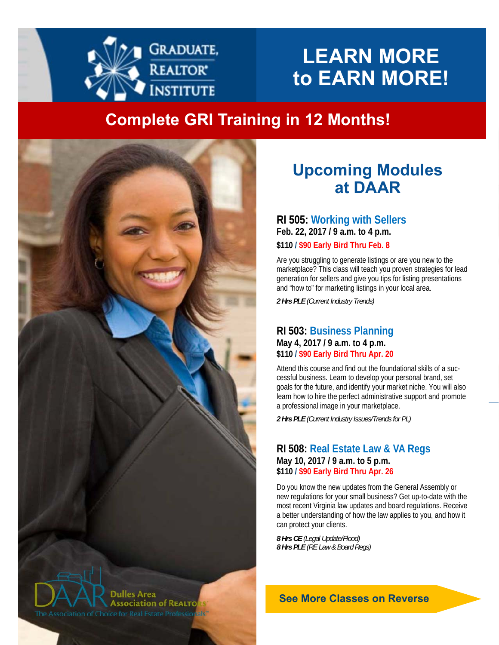

# **LEARN MORE to EARN MORE!**

# **Complete GRI Training in 12 Months!**



# **Upcoming Modules at DAAR**

#### **RI 505: Working with Sellers Feb. 22, 2017 / 9 a.m. to 4 p.m. \$110 / \$90 Early Bird Thru Feb. 8**

Are you struggling to generate listings or are you new to the marketplace? This class will teach you proven strategies for lead generation for sellers and give you tips for listing presentations and "how to" for marketing listings in your local area.

*The mission of the DAAR EducaƟon CommiƩee is to provide the*  **MARCH**  *2 Hrs PLE (Current Industry Trends)* 

#### *instructors and educaƟonal opportuniƟes for our members.*  **RI 503: Business Planning May 4, 2017 / 9 a.m. to 4 p.m. \$110 / \$90 Early Bird Thru Apr. 20**

Attend this course and find out the foundational skills of a successful business. Learn to develop your personal brand, set goals for the future, and identify your market niche. You will also learn how to hire the perfect administrative support and promote a professional image in your marketplace.

*2 Hrs PLE (Current Industry Issues/Trends for PL)* 

#### **RI 508: Real Estate Law & VA Regs May 10, 2017 / 9 a.m. to 5 p.m. \$110 / \$90 Early Bird Thru Apr. 26**

Do you know the new updates from the General Assembly or new regulations for your small business? Get up-to-date with the most recent Virginia law updates and board regulations. Receive a better understanding of how the law applies to you, and how it can protect your clients.

*8 Hrs CE (Legal Update/Flood) 8 Hrs PLE (RE Law & Board Regs)* 

**See More Classes on Reverse**